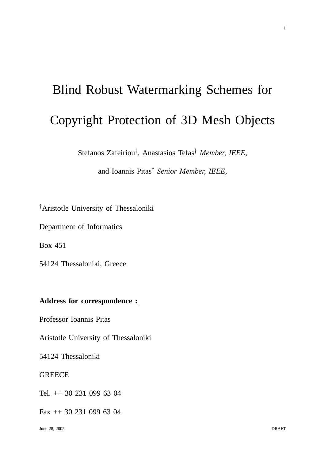# Blind Robust Watermarking Schemes for Copyright Protection of 3D Mesh Objects

Stefanos Zafeiriou† , Anastasios Tefas† *Member, IEEE,*

and Ioannis Pitas† *Senior Member, IEEE,*

†Aristotle University of Thessaloniki

Department of Informatics

Box 451

54124 Thessaloniki, Greece

# **Address for correspondence :**

Professor Ioannis Pitas

Aristotle University of Thessaloniki

54124 Thessaloniki

# **GREECE**

Tel. ++ 30 231 099 63 04

Fax ++ 30 231 099 63 04

1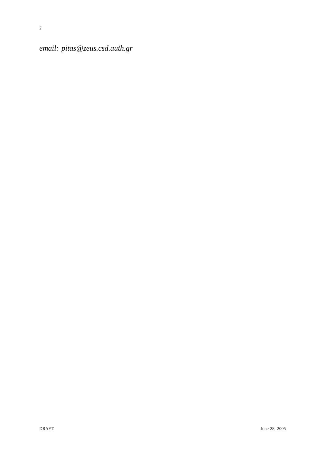*email: pitas@zeus.csd.auth.gr*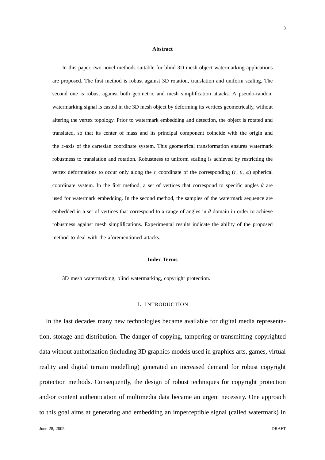#### **Abstract**

In this paper, two novel methods suitable for blind 3D mesh object watermarking applications are proposed. The first method is robust against 3D rotation, translation and uniform scaling. The second one is robust against both geometric and mesh simplification attacks. A pseudo-random watermarking signal is casted in the 3D mesh object by deforming its vertices geometrically, without altering the vertex topology. Prior to watermark embedding and detection, the object is rotated and translated, so that its center of mass and its principal component coincide with the origin and the z-axis of the cartesian coordinate system. This geometrical transformation ensures watermark robustness to translation and rotation. Robustness to uniform scaling is achieved by restricting the vertex deformations to occur only along the r coordinate of the corresponding  $(r, \theta, \phi)$  spherical coordinate system. In the first method, a set of vertices that correspond to specific angles  $\theta$  are used for watermark embedding. In the second method, the samples of the watermark sequence are embedded in a set of vertices that correspond to a range of angles in  $\theta$  domain in order to achieve robustness against mesh simplifications. Experimental results indicate the ability of the proposed method to deal with the aforementioned attacks.

#### **Index Terms**

3D mesh watermarking, blind watermarking, copyright protection.

# I. INTRODUCTION

In the last decades many new technologies became available for digital media representation, storage and distribution. The danger of copying, tampering or transmitting copyrighted data without authorization (including 3D graphics models used in graphics arts, games, virtual reality and digital terrain modelling) generated an increased demand for robust copyright protection methods. Consequently, the design of robust techniques for copyright protection and/or content authentication of multimedia data became an urgent necessity. One approach to this goal aims at generating and embedding an imperceptible signal (called watermark) in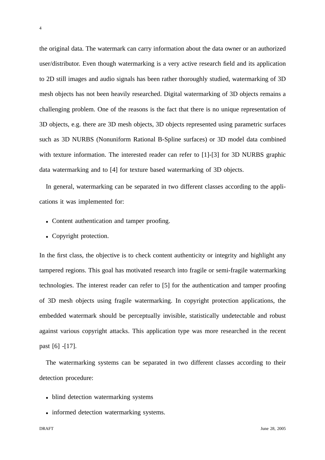the original data. The watermark can carry information about the data owner or an authorized user/distributor. Even though watermarking is a very active research field and its application to 2D still images and audio signals has been rather thoroughly studied, watermarking of 3D mesh objects has not been heavily researched. Digital watermarking of 3D objects remains a challenging problem. One of the reasons is the fact that there is no unique representation of 3D objects, e.g. there are 3D mesh objects, 3D objects represented using parametric surfaces such as 3D NURBS (Nonuniform Rational B-Spline surfaces) or 3D model data combined with texture information. The interested reader can refer to [1]-[3] for 3D NURBS graphic data watermarking and to [4] for texture based watermarking of 3D objects.

In general, watermarking can be separated in two different classes according to the applications it was implemented for:

- Content authentication and tamper proofing.
- Copyright protection.

In the first class, the objective is to check content authenticity or integrity and highlight any tampered regions. This goal has motivated research into fragile or semi-fragile watermarking technologies. The interest reader can refer to [5] for the authentication and tamper proofing of 3D mesh objects using fragile watermarking. In copyright protection applications, the embedded watermark should be perceptually invisible, statistically undetectable and robust against various copyright attacks. This application type was more researched in the recent past [6] -[17].

The watermarking systems can be separated in two different classes according to their detection procedure:

- blind detection watermarking systems
- informed detection watermarking systems.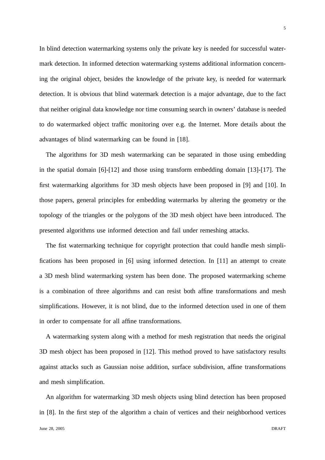In blind detection watermarking systems only the private key is needed for successful watermark detection. In informed detection watermarking systems additional information concerning the original object, besides the knowledge of the private key, is needed for watermark detection. It is obvious that blind watermark detection is a major advantage, due to the fact that neither original data knowledge nor time consuming search in owners' database is needed to do watermarked object traffic monitoring over e.g. the Internet. More details about the advantages of blind watermarking can be found in [18].

The algorithms for 3D mesh watermarking can be separated in those using embedding in the spatial domain [6]-[12] and those using transform embedding domain [13]-[17]. The first watermarking algorithms for 3D mesh objects have been proposed in [9] and [10]. In those papers, general principles for embedding watermarks by altering the geometry or the topology of the triangles or the polygons of the 3D mesh object have been introduced. The presented algorithms use informed detection and fail under remeshing attacks.

The fist watermarking technique for copyright protection that could handle mesh simplifications has been proposed in [6] using informed detection. In [11] an attempt to create a 3D mesh blind watermarking system has been done. The proposed watermarking scheme is a combination of three algorithms and can resist both affine transformations and mesh simplifications. However, it is not blind, due to the informed detection used in one of them in order to compensate for all affine transformations.

A watermarking system along with a method for mesh registration that needs the original 3D mesh object has been proposed in [12]. This method proved to have satisfactory results against attacks such as Gaussian noise addition, surface subdivision, affine transformations and mesh simplification.

An algorithm for watermarking 3D mesh objects using blind detection has been proposed in [8]. In the first step of the algorithm a chain of vertices and their neighborhood vertices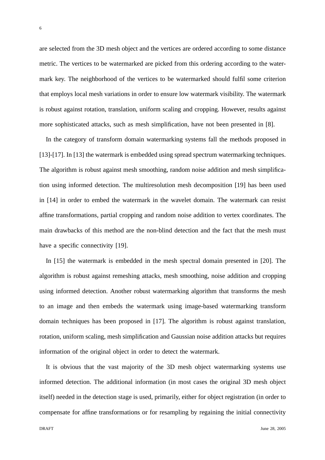are selected from the 3D mesh object and the vertices are ordered according to some distance metric. The vertices to be watermarked are picked from this ordering according to the watermark key. The neighborhood of the vertices to be watermarked should fulfil some criterion that employs local mesh variations in order to ensure low watermark visibility. The watermark is robust against rotation, translation, uniform scaling and cropping. However, results against more sophisticated attacks, such as mesh simplification, have not been presented in [8].

In the category of transform domain watermarking systems fall the methods proposed in [13]-[17]. In [13] the watermark is embedded using spread spectrum watermarking techniques. The algorithm is robust against mesh smoothing, random noise addition and mesh simplification using informed detection. The multiresolution mesh decomposition [19] has been used in [14] in order to embed the watermark in the wavelet domain. The watermark can resist affine transformations, partial cropping and random noise addition to vertex coordinates. The main drawbacks of this method are the non-blind detection and the fact that the mesh must have a specific connectivity [19].

In [15] the watermark is embedded in the mesh spectral domain presented in [20]. The algorithm is robust against remeshing attacks, mesh smoothing, noise addition and cropping using informed detection. Another robust watermarking algorithm that transforms the mesh to an image and then embeds the watermark using image-based watermarking transform domain techniques has been proposed in [17]. The algorithm is robust against translation, rotation, uniform scaling, mesh simplification and Gaussian noise addition attacks but requires information of the original object in order to detect the watermark.

It is obvious that the vast majority of the 3D mesh object watermarking systems use informed detection. The additional information (in most cases the original 3D mesh object itself) needed in the detection stage is used, primarily, either for object registration (in order to compensate for affine transformations or for resampling by regaining the initial connectivity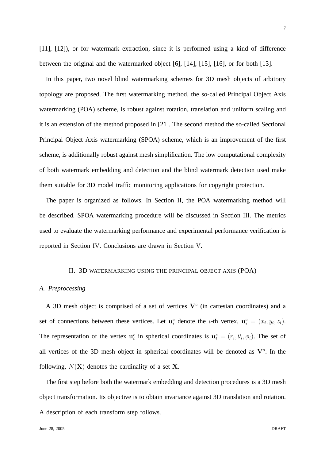[11], [12]), or for watermark extraction, since it is performed using a kind of difference between the original and the watermarked object [6], [14], [15], [16], or for both [13].

In this paper, two novel blind watermarking schemes for 3D mesh objects of arbitrary topology are proposed. The first watermarking method, the so-called Principal Object Axis watermarking (POA) scheme, is robust against rotation, translation and uniform scaling and it is an extension of the method proposed in [21]. The second method the so-called Sectional Principal Object Axis watermarking (SPOA) scheme, which is an improvement of the first scheme, is additionally robust against mesh simplification. The low computational complexity of both watermark embedding and detection and the blind watermark detection used make them suitable for 3D model traffic monitoring applications for copyright protection.

The paper is organized as follows. In Section II, the POA watermarking method will be described. SPOA watermarking procedure will be discussed in Section III. The metrics used to evaluate the watermarking performance and experimental performance verification is reported in Section IV. Conclusions are drawn in Section V.

#### II. 3D WATERMARKING USING THE PRINCIPAL OBJECT AXIS (POA)

# *A. Preprocessing*

A 3D mesh object is comprised of a set of vertices  $V^c$  (in cartesian coordinates) and a set of connections between these vertices. Let  $\mathbf{u}_i^c$  denote the *i*-th vertex,  $\mathbf{u}_i^c = (x_i, y_i, z_i)$ . The representation of the vertex  $\mathbf{u}_i^c$  in spherical coordinates is  $\mathbf{u}_i^s = (r_i, \theta_i, \phi_i)$ . The set of all vertices of the 3D mesh object in spherical coordinates will be denoted as  $V<sup>s</sup>$ . In the following,  $N(X)$  denotes the cardinality of a set X.

The first step before both the watermark embedding and detection procedures is a 3D mesh object transformation. Its objective is to obtain invariance against 3D translation and rotation. A description of each transform step follows.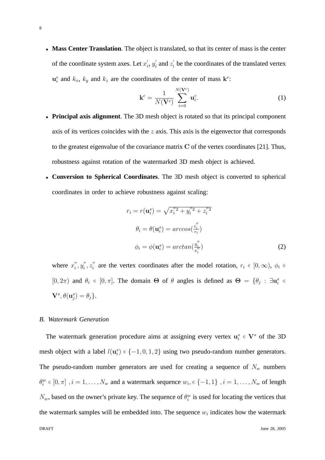• Mass Center Translation. The object is translated, so that its center of mass is the center of the coordinate system axes. Let  $x_i'$  $'_{i}, y'_{i}$  $i_i$  and  $z_i'$  be the coordinates of the translated vertex  $\mathbf{u}_i^c$  and  $k_x$ ,  $k_y$  and  $k_z$  are the coordinates of the center of mass  $\mathbf{k}^c$ :

$$
\mathbf{k}^c = \frac{1}{N(\mathbf{V}^c)} \sum_{i=0}^{N(\mathbf{V}^c)} \mathbf{u}_i^c.
$$
 (1)

- **Principal axis alignment**. The 3D mesh object is rotated so that its principal component axis of its vertices coincides with the  $z$  axis. This axis is the eigenvector that corresponds to the greatest eigenvalue of the covariance matrix  $C$  of the vertex coordinates [21]. Thus, robustness against rotation of the watermarked 3D mesh object is achieved.
- **Conversion to Spherical Coordinates**. The 3D mesh object is converted to spherical coordinates in order to achieve robustness against scaling:

$$
r_i = r(\mathbf{u}_i^s) = \sqrt{x_i^{"2} + y_i^{"2} + z_i^{"2}}
$$
  
\n
$$
\theta_i = \theta(\mathbf{u}_i^s) = \arccos(\frac{z_i^{"}}{r_i})
$$
  
\n
$$
\phi_i = \phi(\mathbf{u}_i^s) = \arctan(\frac{y_i^{"}}{x_i^{"}})
$$
\n(2)

where  $x_i''$  $''_i, y''_i$  $\frac{n}{i}, \frac{n}{i}$  $i'$  are the vertex coordinates after the model rotation,  $r_i \in [0, \infty)$ ,  $\phi_i \in$ [0, 2 $\pi$ ) and  $\theta_i \in [0, \pi]$ . The domain  $\Theta$  of  $\theta$  angles is defined as  $\Theta = {\theta_j : \exists u_i^s \in \Theta}$  $\mathbf{V}^s, \theta(\mathbf{u}^s_j) = \theta_j$  }.

# *B. Watermark Generation*

The watermark generation procedure aims at assigning every vertex  $\mathbf{u}_i^s \in \mathbf{V}^s$  of the 3D mesh object with a label  $l(\mathbf{u}_i^s) \in \{-1, 0, 1, 2\}$  using two pseudo-random number generators. The pseudo-random number generators are used for creating a sequence of  $N_w$  numbers  $\theta_i^w \in [0, \pi]$  ,  $i = 1, \dots, N_w$  and a watermark sequence  $w_i, \in \{-1, 1\}$  ,  $i = 1, \dots, N_w$  of length  $N_w$ , based on the owner's private key. The sequence of  $\theta_i^w$  is used for locating the vertices that the watermark samples will be embedded into. The sequence  $w_i$  indicates how the watermark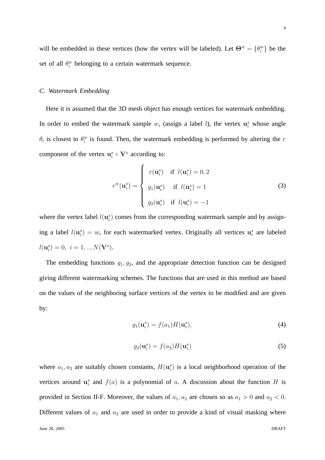will be embedded in these vertices (how the vertex will be labeled). Let  $\Theta^w = {\theta_i^w}$  be the set of all  $\theta_i^w$  belonging to a certain watermark sequence.

# *C. Watermark Embedding*

Here it is assumed that the 3D mesh object has enough vertices for watermark embedding. In order to embed the watermark sample  $w_i$  (assign a label l), the vertex  $\mathbf{u}_i^s$  whose angle  $\theta_i$  is closest to  $\theta_i^w$  is found. Then, the watermark embedding is performed by altering the r component of the vertex  $\mathbf{u}_i^s \in \mathbf{V}^s$  according to:

$$
r^{w}(\mathbf{u}_{i}^{s}) = \begin{cases} r(\mathbf{u}_{i}^{s}) & \text{if } l(\mathbf{u}_{i}^{s}) = 0, 2 \\ g_{1}(\mathbf{u}_{i}^{s}) & \text{if } l(\mathbf{u}_{i}^{s}) = 1 \\ g_{2}(\mathbf{u}_{i}^{s}) & \text{if } l(\mathbf{u}_{i}^{s}) = -1 \end{cases}
$$
(3)

where the vertex label  $l(\mathbf{u}_i^s)$  comes from the corresponding watermark sample and by assigning a label  $l(\mathbf{u}_i^s) = w_i$  for each watermarked vertex. Originally all vertices  $\mathbf{u}_i^s$  are labeled  $l(\mathbf{u}_i^s) = 0, \ i = 1,..,N(\mathbf{V}^s).$ 

The embedding functions  $g_1, g_2$ , and the appropriate detection function can be designed giving different watermarking schemes. The functions that are used in this method are based on the values of the neighboring surface vertices of the vertex to be modified and are given by:

$$
g_1(\mathbf{u}_i^s) = f(a_1)H(\mathbf{u}_i^s),\tag{4}
$$

$$
g_2(\mathbf{u}_i^s) = f(a_2)H(\mathbf{u}_i^s)
$$
\n(5)

where  $a_1, a_2$  are suitably chosen constants,  $H(\mathbf{u}_i^s)$  is a local neighborhood operation of the vertices around  $\mathbf{u}_i^s$  and  $f(a)$  is a polynomial of a. A discussion about the function H is provided in Section II-F. Moreover, the values of  $a_1, a_2$  are chosen so as  $a_1 > 0$  and  $a_2 < 0$ . Different values of  $a_1$  and  $a_2$  are used in order to provide a kind of visual masking where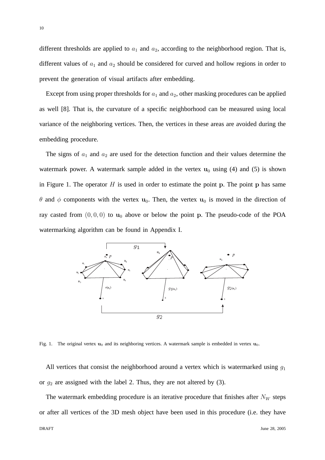different thresholds are applied to  $a_1$  and  $a_2$ , according to the neighborhood region. That is, different values of  $a_1$  and  $a_2$  should be considered for curved and hollow regions in order to prevent the generation of visual artifacts after embedding.

Except from using proper thresholds for  $a_1$  and  $a_2$ , other masking procedures can be applied as well [8]. That is, the curvature of a specific neighborhood can be measured using local variance of the neighboring vertices. Then, the vertices in these areas are avoided during the embedding procedure.

The signs of  $a_1$  and  $a_2$  are used for the detection function and their values determine the watermark power. A watermark sample added in the vertex  $u_0$  using (4) and (5) is shown in Figure 1. The operator  $H$  is used in order to estimate the point p. The point p has same θ and φ components with the vertex u<sub>0</sub>. Then, the vertex u<sub>0</sub> is moved in the direction of ray casted from  $(0, 0, 0)$  to  $\mathbf{u}_0$  above or below the point p. The pseudo-code of the POA watermarking algorithm can be found in Appendix I.



Fig. 1. The original vertex  $\mathbf{u}_0$  and its neighboring vertices. A watermark sample is embedded in vertex  $\mathbf{u}_0$ .

All vertices that consist the neighborhood around a vertex which is watermarked using  $g_1$ or  $g_2$  are assigned with the label 2. Thus, they are not altered by (3).

The watermark embedding procedure is an iterative procedure that finishes after  $N_W$  steps or after all vertices of the 3D mesh object have been used in this procedure (i.e. they have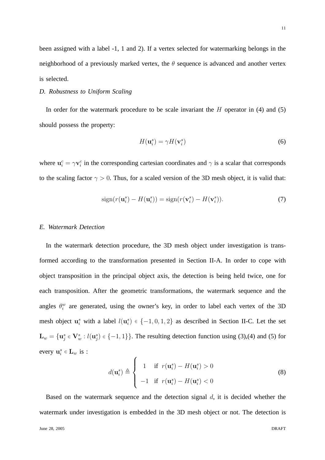been assigned with a label -1, 1 and 2). If a vertex selected for watermarking belongs in the neighborhood of a previously marked vertex, the  $\theta$  sequence is advanced and another vertex is selected.

## *D. Robustness to Uniform Scaling*

In order for the watermark procedure to be scale invariant the  $H$  operator in (4) and (5) should possess the property:

$$
H(\mathbf{u}_i^s) = \gamma H(\mathbf{v}_i^s)
$$
 (6)

where  $\mathbf{u}_i^c = \gamma \mathbf{v}_i^c$  in the corresponding cartesian coordinates and  $\gamma$  is a scalar that corresponds to the scaling factor  $\gamma > 0$ . Thus, for a scaled version of the 3D mesh object, it is valid that:

$$
\operatorname{sign}(r(\mathbf{u}_i^s) - H(\mathbf{u}_i^s)) = \operatorname{sign}(r(\mathbf{v}_i^s) - H(\mathbf{v}_i^s)).\tag{7}
$$

# *E. Watermark Detection*

In the watermark detection procedure, the 3D mesh object under investigation is transformed according to the transformation presented in Section II-A. In order to cope with object transposition in the principal object axis, the detection is being held twice, one for each transposition. After the geometric transformations, the watermark sequence and the angles  $\theta_i^w$  are generated, using the owner's key, in order to label each vertex of the 3D mesh object  $\mathbf{u}_i^s$  with a label  $l(\mathbf{u}_i^s) \in \{-1, 0, 1, 2\}$  as described in Section II-C. Let the set  $\mathbf{L}_w = {\mathbf{u}_j^s \in \mathbf{V}_w^s : l(\mathbf{u}_j^s) \in \{-1, 1\}}.$  The resulting detection function using (3),(4) and (5) for every  $\mathbf{u}_i^s \in \mathbf{L}_w$  is :

$$
d(\mathbf{u}_i^s) \triangleq \begin{cases} 1 & \text{if } r(\mathbf{u}_i^s) - H(\mathbf{u}_i^s) > 0 \\ -1 & \text{if } r(\mathbf{u}_i^s) - H(\mathbf{u}_i^s) < 0 \end{cases}
$$
 (8)

Based on the watermark sequence and the detection signal  $d$ , it is decided whether the watermark under investigation is embedded in the 3D mesh object or not. The detection is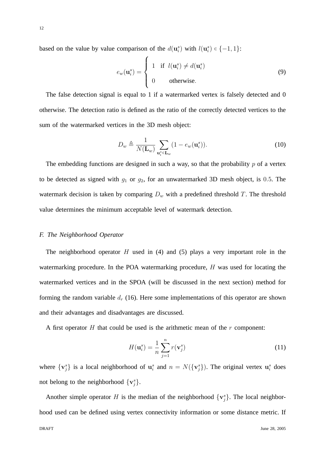based on the value by value comparison of the  $d(\mathbf{u}_i^s)$  with  $l(\mathbf{u}_i^s) \in \{-1, 1\}$ :

$$
e_w(\mathbf{u}_i^s) = \begin{cases} 1 & \text{if } l(\mathbf{u}_i^s) \neq d(\mathbf{u}_i^s) \\ 0 & \text{otherwise.} \end{cases}
$$
(9)

The false detection signal is equal to 1 if a watermarked vertex is falsely detected and 0 otherwise. The detection ratio is defined as the ratio of the correctly detected vertices to the sum of the watermarked vertices in the 3D mesh object:

$$
D_w \triangleq \frac{1}{N(\mathbf{L}_w)} \sum_{\mathbf{u}_i^s \in \mathbf{L}_w} (1 - e_w(\mathbf{u}_i^s)).
$$
 (10)

The embedding functions are designed in such a way, so that the probability  $p$  of a vertex to be detected as signed with  $g_1$  or  $g_2$ , for an unwatermarked 3D mesh object, is 0.5. The watermark decision is taken by comparing  $D_w$  with a predefined threshold T. The threshold value determines the minimum acceptable level of watermark detection.

## *F. The Neighborhood Operator*

The neighborhood operator  $H$  used in (4) and (5) plays a very important role in the watermarking procedure. In the POA watermarking procedure, H was used for locating the watermarked vertices and in the SPOA (will be discussed in the next section) method for forming the random variable  $d_r$  (16). Here some implementations of this operator are shown and their advantages and disadvantages are discussed.

A first operator  $H$  that could be used is the arithmetic mean of the  $r$  component:

$$
H(\mathbf{u}_i^s) = \frac{1}{n} \sum_{j=1}^n r(\mathbf{v}_j^s)
$$
 (11)

where  $\{v_j^s\}$  is a local neighborhood of  $u_i^s$  and  $n = N(\{v_j^s\})$ . The original vertex  $u_i^s$  does not belong to the neighborhood  $\{v_j^s\}$ .

Another simple operator H is the median of the neighborhood  $\{v_j^s\}$ . The local neighborhood used can be defined using vertex connectivity information or some distance metric. If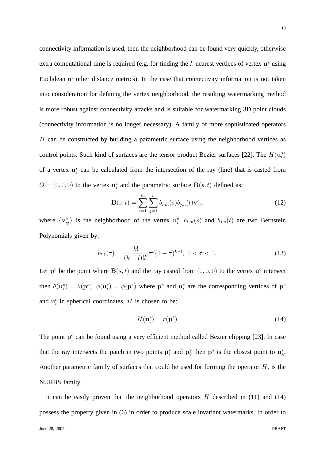13

connectivity information is used, then the neighborhood can be found very quickly, otherwise extra computational time is required (e.g. for finding the  $k$  nearest vertices of vertex  $\mathbf{u}_i^s$  using Euclidean or other distance metrics). In the case that connectivity information is not taken into consideration for defining the vertex neighborhood, the resulting watermarking method is more robust against connectivity attacks and is suitable for watermarking 3D point clouds (connectivity information is no longer necessary). A family of more sophisticated operators H can be constructed by building a parametric surface using the neighborhood vertices as control points. Such kind of surfaces are the tensor product Bezier surfaces [22]. The  $H(\mathbf{u}_i^s)$ of a vertex  $\mathbf{u}_i^s$  can be calculated from the intersection of the ray (line) that is casted from  $O = (0, 0, 0)$  to the vertex  $\mathbf{u}_i^c$  and the parametric surface  $\mathbf{B}(s, t)$  defined as:

$$
\mathbf{B}(s,t) = \sum_{i=1}^{m} \sum_{j=1}^{n} b_{i,m}(s) b_{j,n}(t) \mathbf{v}_{ij}^{c},
$$
\n(12)

where  $\{v_{ij}^c\}$  is the neighborhood of the vertex  $u_i^c$ ,  $b_{i,m}(s)$  and  $b_{j,n}(t)$  are two Bernstein Polynomials given by:

$$
b_{l,k}(\tau) = \frac{k!}{(k-l)!l!} \tau^k (1-\tau)^{k-l}, \ 0 < \tau < 1.
$$
 (13)

Let  $p^c$  be the point where  $B(s, t)$  and the ray casted from  $(0, 0, 0)$  to the vertex  $\mathbf{u}_i^c$  intersect then  $\theta(\mathbf{u}_i^s) = \theta(\mathbf{p}^s)$ ,  $\phi(\mathbf{u}_i^s) = \phi(\mathbf{p}^s)$  where  $\mathbf{p}^s$  and  $\mathbf{u}_i^s$  are the corresponding vertices of  $\mathbf{p}^c$ and  $\mathbf{u}_i^c$  in spherical coordinates. H is chosen to be:

$$
H(\mathbf{u}_i^s) = r(\mathbf{p}^s) \tag{14}
$$

The point  $p<sup>c</sup>$  can be found using a very efficient method called Bezier clipping [23]. In case that the ray intersects the patch in two points  $p_1^s$  and  $p_2^s$  then  $p^s$  is the closest point to  $u_k^s$ . Another parametric family of surfaces that could be used for forming the operator  $H$ , is the NURBS family.

It can be easily proven that the neighborhood operators  $H$  described in (11) and (14) possess the property given in (6) in order to produce scale invariant watermarks. In order to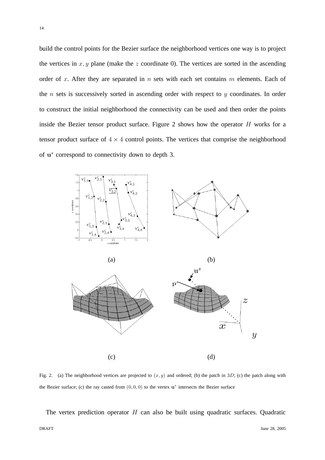build the control points for the Bezier surface the neighborhood vertices one way is to project the vertices in  $x, y$  plane (make the z coordinate 0). The vertices are sorted in the ascending order of x. After they are separated in  $n$  sets with each set contains  $m$  elements. Each of the  $n$  sets is successively sorted in ascending order with respect to  $y$  coordinates. In order to construct the initial neighborhood the connectivity can be used and then order the points inside the Bezier tensor product surface. Figure 2 shows how the operator H works for a tensor product surface of  $4 \times 4$  control points. The vertices that comprise the neighborhood of u<sup>s</sup> correspond to connectivity down to depth 3.



Fig. 2. (a) The neighborhood vertices are projected to  $(x, y)$  and ordered; (b) the patch in 3D; (c) the patch along with the Bezier surface; (c) the ray casted from  $(0,0,0)$  to the vertex  $\mathbf{u}^s$  intersects the Bezier surface

The vertex prediction operator  $H$  can also be built using quadratic surfaces. Quadratic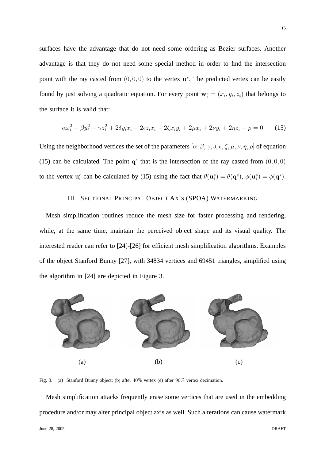surfaces have the advantage that do not need some ordering as Bezier surfaces. Another advantage is that they do not need some special method in order to find the intersection point with the ray casted from  $(0, 0, 0)$  to the vertex  $\mathbf{u}^s$ . The predicted vertex can be easily found by just solving a quadratic equation. For every point  $\mathbf{w}_i^c = (x_i, y_i, z_i)$  that belongs to the surface it is valid that:

$$
\alpha x_i^2 + \beta y_i^2 + \gamma z_i^2 + 2\delta y_i x_i + 2\epsilon z_i x_i + 2\zeta x_i y_i + 2\mu x_i + 2\nu y_i + 2\eta z_i + \rho = 0 \tag{15}
$$

Using the neighborhood vertices the set of the parameters  $[\alpha, \beta, \gamma, \delta, \epsilon, \zeta, \mu, \nu, \eta, \rho]$  of equation (15) can be calculated. The point  $q^s$  that is the intersection of the ray casted from  $(0, 0, 0)$ to the vertex  $\mathbf{u}_i^c$  can be calculated by (15) using the fact that  $\theta(\mathbf{u}_i^s) = \theta(\mathbf{q}^s)$ ,  $\phi(\mathbf{u}_i^s) = \phi(\mathbf{q}^s)$ .

# III. SECTIONAL PRINCIPAL OBJECT AXIS (SPOA) WATERMARKING

Mesh simplification routines reduce the mesh size for faster processing and rendering, while, at the same time, maintain the perceived object shape and its visual quality. The interested reader can refer to [24]-[26] for efficient mesh simplification algorithms. Examples of the object Stanford Bunny [27], with 34834 vertices and 69451 triangles, simplified using the algorithm in [24] are depicted in Figure 3.



Fig. 3. (a) Stanford Bunny object; (b) after 40% vertex (e) after 90% vertex decimation.

Mesh simplification attacks frequently erase some vertices that are used in the embedding procedure and/or may alter principal object axis as well. Such alterations can cause watermark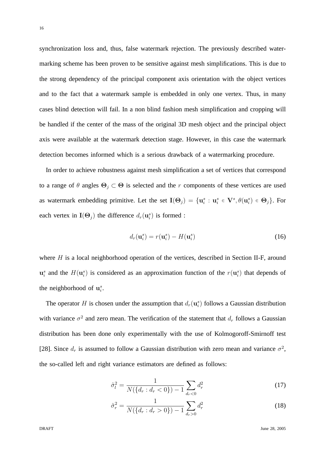synchronization loss and, thus, false watermark rejection. The previously described watermarking scheme has been proven to be sensitive against mesh simplifications. This is due to the strong dependency of the principal component axis orientation with the object vertices and to the fact that a watermark sample is embedded in only one vertex. Thus, in many cases blind detection will fail. In a non blind fashion mesh simplification and cropping will be handled if the center of the mass of the original 3D mesh object and the principal object axis were available at the watermark detection stage. However, in this case the watermark detection becomes informed which is a serious drawback of a watermarking procedure.

In order to achieve robustness against mesh simplification a set of vertices that correspond to a range of  $\theta$  angles  $\Theta_j \subset \Theta$  is selected and the r components of these vertices are used as watermark embedding primitive. Let the set  $I(\Theta_j) = \{ \mathbf{u}_i^s : \mathbf{u}_i^s \in \mathbf{V}^s, \theta(\mathbf{u}_i^s) \in \Theta_j \}$ . For each vertex in  $\mathbf{I}(\Theta_j)$  the difference  $d_r(\mathbf{u}_i^s)$  is formed :

$$
d_r(\mathbf{u}_i^s) = r(\mathbf{u}_i^s) - H(\mathbf{u}_i^s)
$$
 (16)

where H is a local neighborhood operation of the vertices, described in Section II-F, around  $\mathbf{u}_i^s$  and the  $H(\mathbf{u}_i^s)$  is considered as an approximation function of the  $r(\mathbf{u}_i^s)$  that depends of the neighborhood of  $\mathbf{u}_i^s$ .

The operator H is chosen under the assumption that  $d_r(\mathbf{u}_i^s)$  follows a Gaussian distribution with variance  $\sigma^2$  and zero mean. The verification of the statement that  $d_r$  follows a Gaussian distribution has been done only experimentally with the use of Kolmogoroff-Smirnoff test [28]. Since  $d_r$  is assumed to follow a Gaussian distribution with zero mean and variance  $\sigma^2$ , the so-called left and right variance estimators are defined as follows:

$$
\hat{\sigma}_l^2 = \frac{1}{N(\{d_r : d_r < 0\}) - 1} \sum_{d_r < 0} d_r^2 \tag{17}
$$

$$
\hat{\sigma}_r^2 = \frac{1}{N(\{d_r : d_r > 0\}) - 1} \sum_{d_r > 0} d_r^2 \tag{18}
$$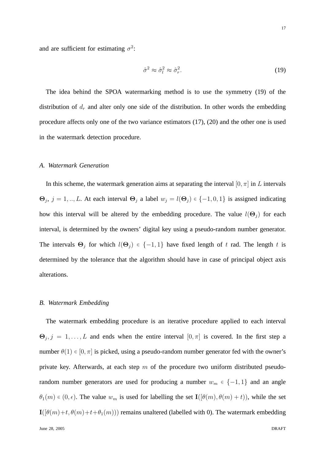and are sufficient for estimating  $\sigma^2$ :

$$
\hat{\sigma}^2 \approx \hat{\sigma}_l^2 \approx \hat{\sigma}_r^2. \tag{19}
$$

The idea behind the SPOA watermarking method is to use the symmetry (19) of the distribution of  $d_r$  and alter only one side of the distribution. In other words the embedding procedure affects only one of the two variance estimators (17), (20) and the other one is used in the watermark detection procedure.

# *A. Watermark Generation*

In this scheme, the watermark generation aims at separating the interval  $[0, \pi]$  in L intervals  $\Theta_j$ ,  $j = 1, ..., L$ . At each interval  $\Theta_j$  a label  $w_j = l(\Theta_j) \in \{-1, 0, 1\}$  is assigned indicating how this interval will be altered by the embedding procedure. The value  $l(\Theta_i)$  for each interval, is determined by the owners' digital key using a pseudo-random number generator. The intervals  $\Theta_j$  for which  $l(\Theta_j) \in \{-1,1\}$  have fixed length of t rad. The length t is determined by the tolerance that the algorithm should have in case of principal object axis alterations.

#### *B. Watermark Embedding*

The watermark embedding procedure is an iterative procedure applied to each interval  $\Theta_j$ ,  $j = 1, \ldots, L$  and ends when the entire interval  $[0, \pi]$  is covered. In the first step a number  $\theta(1) \in [0, \pi]$  is picked, using a pseudo-random number generator fed with the owner's private key. Afterwards, at each step  $m$  of the procedure two uniform distributed pseudorandom number generators are used for producing a number  $w_m \in \{-1, 1\}$  and an angle  $\theta_1(m) \in (0, \epsilon)$ . The value  $w_m$  is used for labelling the set  $\mathbf{I}([\theta(m), \theta(m) + t))$ , while the set  $\mathbf{I}([\theta(m)+t,\theta(m)+t+\theta_1(m)))$  remains unaltered (labelled with 0). The watermark embedding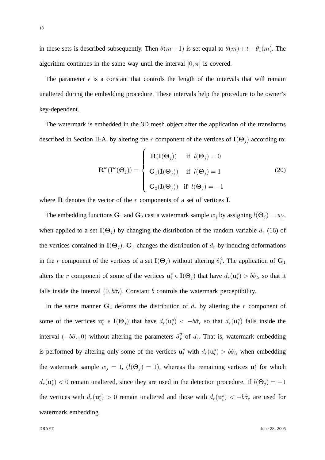in these sets is described subsequently. Then  $\theta(m+1)$  is set equal to  $\theta(m) + t + \theta_1(m)$ . The algorithm continues in the same way until the interval  $[0, \pi]$  is covered.

The parameter  $\epsilon$  is a constant that controls the length of the intervals that will remain unaltered during the embedding procedure. These intervals help the procedure to be owner's key-dependent.

The watermark is embedded in the 3D mesh object after the application of the transforms described in Section II-A, by altering the r component of the vertices of  $I(\Theta_j)$  according to:

$$
\mathbf{R}^{w}(\mathbf{I}^{w}(\mathbf{\Theta}_{j})) = \begin{cases} \mathbf{R}(\mathbf{I}(\mathbf{\Theta}_{j})) & \text{if } l(\mathbf{\Theta}_{j}) = 0 \\ \mathbf{G}_{1}(\mathbf{I}(\mathbf{\Theta}_{j})) & \text{if } l(\mathbf{\Theta}_{j}) = 1 \\ \mathbf{G}_{2}(\mathbf{I}(\mathbf{\Theta}_{j})) & \text{if } l(\mathbf{\Theta}_{j}) = -1 \end{cases}
$$
(20)

where  $R$  denotes the vector of the  $r$  components of a set of vertices  $I$ .

The embedding functions  $G_1$  and  $G_2$  cast a watermark sample  $w_j$  by assigning  $l(\Theta_j) = w_j$ , when applied to a set  $I(\Theta_i)$  by changing the distribution of the random variable  $d_r$  (16) of the vertices contained in  $I(\Theta_i)$ . G<sub>1</sub> changes the distribution of  $d_r$  by inducing deformations in the r component of the vertices of a set  $I(\Theta_j)$  without altering  $\hat{\sigma}_l^2$ . The application of  $G_1$ alters the r component of some of the vertices  $\mathbf{u}_i^s \in \mathbf{I}(\Theta_j)$  that have  $d_r(\mathbf{u}_i^s) > b\hat{\sigma}_l$ , so that it falls inside the interval  $(0, b\hat{\sigma}_l)$ . Constant b controls the watermark perceptibility.

In the same manner  $G_2$  deforms the distribution of  $d_r$  by altering the r component of some of the vertices  $\mathbf{u}_i^s \in \mathbf{I}(\Theta_j)$  that have  $d_r(\mathbf{u}_i^s) < -b\hat{\sigma}_r$  so that  $d_r(\mathbf{u}_i^s)$  falls inside the interval  $(-b\hat{\sigma}_r, 0)$  without altering the parameters  $\hat{\sigma}_r^2$  of  $d_r$ . That is, watermark embedding is performed by altering only some of the vertices  $\mathbf{u}_i^s$  with  $d_r(\mathbf{u}_i^s) > b\hat{\sigma}_l$ , when embedding the watermark sample  $w_j = 1$ ,  $(l(\Theta_j) = 1)$ , whereas the remaining vertices  $\mathbf{u}_i^s$  for which  $d_r(\mathbf{u}_i^s)$  < 0 remain unaltered, since they are used in the detection procedure. If  $l(\mathbf{\Theta}_j) = -1$ the vertices with  $d_r(\mathbf{u}_i^s) > 0$  remain unaltered and those with  $d_r(\mathbf{u}_i^s) < -b\hat{\sigma}_r$  are used for watermark embedding.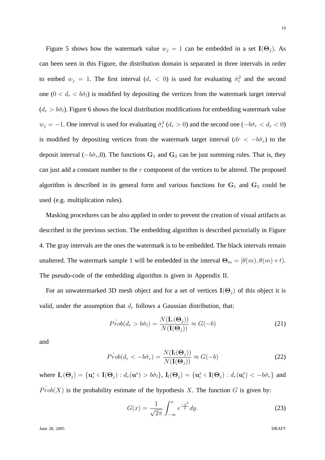Figure 5 shows how the watermark value  $w_j = 1$  can be embedded in a set  $I(\Theta_j)$ . As can been seen in this Figure, the distribution domain is separated in three intervals in order to embed  $w_j = 1$ . The first interval  $(d_r < 0)$  is used for evaluating  $\hat{\sigma}_l^2$  and the second one  $(0 < d_r < b\hat{\sigma}_l)$  is modified by depositing the vertices from the watermark target interval  $(d_r > b\hat{\sigma}_l)$ . Figure 6 shows the local distribution modifications for embedding watermark value  $w_j = -1$ . One interval is used for evaluating  $\hat{\sigma}_r^2$  ( $d_r > 0$ ) and the second one ( $-\hat{b}\hat{\sigma}_r < d_r < 0$ ) is modified by depositing vertices from the watermark target interval  $(dr < -b\hat{\sigma}_r)$  to the deposit interval ( $-b\hat{\sigma}_r$ ,0). The functions G<sub>1</sub> and G<sub>2</sub> can be just summing rules. That is, they can just add a constant number to the  $r$  component of the vertices to be altered. The proposed algorithm is described in its general form and various functions for  $G_1$  and  $G_2$  could be used (e.g. multiplication rules).

Masking procedures can be also applied in order to prevent the creation of visual artifacts as described in the previous section. The embedding algorithm is described pictorially in Figure 4. The gray intervals are the ones the watermark is to be embedded. The black intervals remain unaltered. The watermark sample 1 will be embedded in the interval  $\Theta_m = [\theta(m), \theta(m)+t)$ . The pseudo-code of the embedding algorithm is given in Appendix II.

For an unwatermarked 3D mesh object and for a set of vertices  $I(\Theta_i)$  of this object it is valid, under the assumption that  $d_r$  follows a Gaussian distribution, that:

$$
\hat{Prob}(d_r > b\hat{\sigma}_l) = \frac{N(\mathbf{I}_r(\mathbf{\Theta}_j))}{N(\mathbf{I}(\mathbf{\Theta}_j))} \approx G(-b)
$$
\n(21)

and

$$
\hat{Prob}(d_r < -b\hat{\sigma}_r) = \frac{N(\mathbf{I}_l(\mathbf{\Theta}_j))}{N(\mathbf{I}(\mathbf{\Theta}_j))} \approx G(-b) \tag{22}
$$

where  $\mathbf{I}_r(\Theta_j) = {\mathbf{u}_i^s \in \mathbf{I}(\Theta_j) : d_r(\mathbf{u}^s) > b\hat{\sigma}_l}, \mathbf{I}_l(\Theta_j) = {\mathbf{u}_i^s \in \mathbf{I}(\Theta_j) : d_r(\mathbf{u}_i^s) < -b\hat{\sigma}_r}$  and  $Prob(X)$  is the probability estimate of the hypothesis X. The function G is given by:

$$
G(x) = \frac{1}{\sqrt{2\pi}} \int_{-\infty}^{x} e^{\frac{-y^2}{2}} dy.
$$
 (23)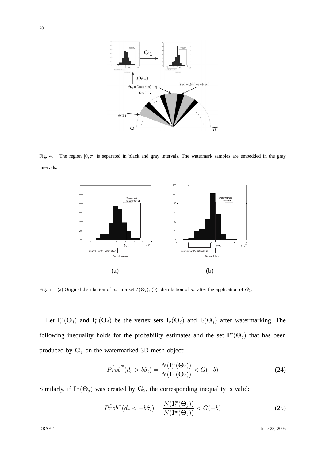

Fig. 4. The region  $[0, \pi]$  is separated in black and gray intervals. The watermark samples are embedded in the gray intervals.



Fig. 5. (a) Original distribution of  $d_r$  in a set  $I(\Theta_i)$ ; (b) distribution of  $d_r$  after the application of  $G_1$ .

Let  $I_r^w(\Theta_j)$  and  $I_l^w(\Theta_j)$  be the vertex sets  $I_r(\Theta_j)$  and  $I_l(\Theta_j)$  after watermarking. The following inequality holds for the probability estimates and the set  $I^w(\Theta_j)$  that has been produced by  $G_1$  on the watermarked 3D mesh object:

$$
\hat{Prob}^w(d_r > b\hat{\sigma}_l) = \frac{N(\mathbf{I}_r^w(\mathbf{\Theta}_j))}{N(\mathbf{I}^w(\mathbf{\Theta}_j))} < G(-b) \tag{24}
$$

Similarly, if  $I^w(\Theta_j)$  was created by  $\mathbf{G}_2$ , the corresponding inequality is valid:

$$
\hat{Prob}^w(d_r < -b\hat{\sigma}_l) = \frac{N(\mathbf{I}_l^w(\Theta_j))}{N(\mathbf{I}^w(\Theta_j))} < G(-b)
$$
\n(25)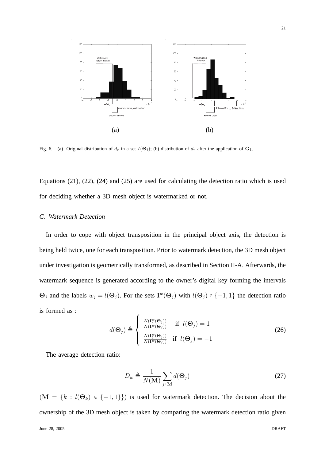

Fig. 6. (a) Original distribution of  $d_r$  in a set  $I(\Theta_i)$ ; (b) distribution of  $d_r$  after the application of  $\mathbf{G}_1$ .

Equations (21), (22), (24) and (25) are used for calculating the detection ratio which is used for deciding whether a 3D mesh object is watermarked or not.

# *C. Watermark Detection*

In order to cope with object transposition in the principal object axis, the detection is being held twice, one for each transposition. Prior to watermark detection, the 3D mesh object under investigation is geometrically transformed, as described in Section II-A. Afterwards, the watermark sequence is generated according to the owner's digital key forming the intervals  $\Theta_j$  and the labels  $w_j = l(\Theta_j)$ . For the sets  $I^w(\Theta_j)$  with  $l(\Theta_j) \in \{-1, 1\}$  the detection ratio is formed as :

$$
d(\mathbf{\Theta}_j) \triangleq \begin{cases} \frac{N(\mathbf{I}_r^w(\mathbf{\Theta}_j))}{N(\mathbf{I}^w(\mathbf{\Theta}_j))} & \text{if } l(\mathbf{\Theta}_j) = 1\\ \frac{N(\mathbf{I}_l^w(\mathbf{\Theta}_j))}{N(\mathbf{I}^w(\mathbf{\Theta}_j))} & \text{if } l(\mathbf{\Theta}_j) = -1 \end{cases}
$$
(26)

The average detection ratio:

$$
D_w \triangleq \frac{1}{N(\mathbf{M})} \sum_{j \in \mathbf{M}} d(\mathbf{\Theta}_j)
$$
 (27)

 $(M = \{k : l(\Theta_k) \in \{-1,1\}\})$  is used for watermark detection. The decision about the ownership of the 3D mesh object is taken by comparing the watermark detection ratio given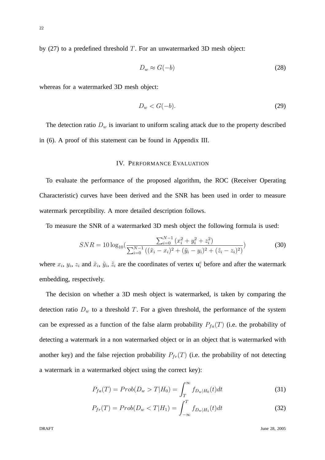by  $(27)$  to a predefined threshold T. For an unwatermarked 3D mesh object:

$$
D_w \approx G(-b) \tag{28}
$$

whereas for a watermarked 3D mesh object:

$$
D_w < G(-b). \tag{29}
$$

The detection ratio  $D_w$  is invariant to uniform scaling attack due to the property described in (6). A proof of this statement can be found in Appendix III.

# IV. PERFORMANCE EVALUATION

To evaluate the performance of the proposed algorithm, the ROC (Receiver Operating Characteristic) curves have been derived and the SNR has been used in order to measure watermark perceptibility. A more detailed description follows.

To measure the SNR of a watermarked 3D mesh object the following formula is used:

$$
SNR = 10 \log_{10} \left( \frac{\sum_{i=0}^{N-1} (x_i^2 + y_i^2 + z_i^2)}{\sum_{i=0}^{N-1} ((\tilde{x}_i - x_i)^2 + (\tilde{y}_i - y_i)^2 + (\tilde{z}_i - z_i)^2)} \right)
$$
(30)

where  $x_i$ ,  $y_i$ ,  $z_i$  and  $\tilde{x}_i$ ,  $\tilde{y}_i$ ,  $\tilde{z}_i$  are the coordinates of vertex  $\mathbf{u}_i^c$  before and after the watermark embedding, respectively.

The decision on whether a 3D mesh object is watermarked, is taken by comparing the detection ratio  $D_w$  to a threshold T. For a given threshold, the performance of the system can be expressed as a function of the false alarm probability  $P_{fa}(T)$  (i.e. the probability of detecting a watermark in a non watermarked object or in an object that is watermarked with another key) and the false rejection probability  $P_{fr}(T)$  (i.e. the probability of not detecting a watermark in a watermarked object using the correct key):

$$
P_{fa}(T) = Prob(D_w > T | H_0) = \int_T^{\infty} f_{D_w|H_0}(t) dt
$$
\n(31)

$$
P_{fr}(T) = Prob(D_w < T | H_1) = \int_{-\infty}^{T} f_{D_w|H_1}(t) dt
$$
\n(32)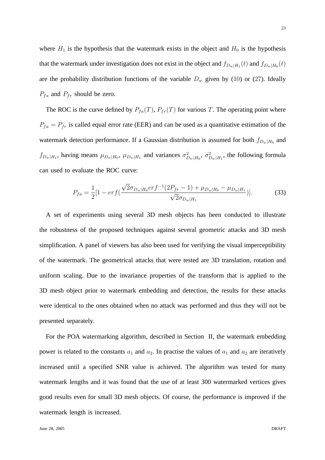where  $H_1$  is the hypothesis that the watermark exists in the object and  $H_0$  is the hypothesis that the watermark under investigation does not exist in the object and  $f_{D_w|H_1}(t)$  and  $f_{D_w|H_0}(t)$ are the probability distribution functions of the variable  $D_w$  given by (10) or (27). Ideally  $P_{fa}$  and  $P_{fr}$  should be zero.

The ROC is the curve defined by  $P_{fa}(T)$ ,  $P_{fr}(T)$  for various T. The operating point where  $P_{fa} = P_{fr}$  is called equal error rate (EER) and can be used as a quantitative estimation of the watermark detection performance. If a Gaussian distribution is assumed for both  $f_{D_w|H_0}$  and  $f_{D_w|H_1}$ , having means  $\mu_{D_w|H_0}$ ,  $\mu_{D_w|H_1}$  and variances  $\sigma_{D_w|H_0}^2$ ,  $\sigma_{D_w|H_1}^2$ , the following formula can used to evaluate the ROC curve:

$$
P_{fa} = \frac{1}{2} [1 - erf(\frac{\sqrt{2}\sigma_{D_w|H_0} erf^{-1}(2P_{fr} - 1) + \mu_{D_w|H_0} - \mu_{D_w|H_1}}{\sqrt{2}\sigma_{D_w|H_1}})].
$$
(33)

A set of experiments using several 3D mesh objects has been conducted to illustrate the robustness of the proposed techniques against several geometric attacks and 3D mesh simplification. A panel of viewers has also been used for verifying the visual imperceptibility of the watermark. The geometrical attacks that were tested are 3D translation, rotation and uniform scaling. Due to the invariance properties of the transform that is applied to the 3D mesh object prior to watermark embedding and detection, the results for these attacks were identical to the ones obtained when no attack was performed and thus they will not be presented separately.

For the POA watermarking algorithm, described in Section II, the watermark embedding power is related to the constants  $a_1$  and  $a_2$ . In practise the values of  $a_1$  and  $a_2$  are iteratively increased until a specified SNR value is achieved. The algorithm was tested for many watermark lengths and it was found that the use of at least 300 watermarked vertices gives good results even for small 3D mesh objects. Of course, the performance is improved if the watermark length is increased.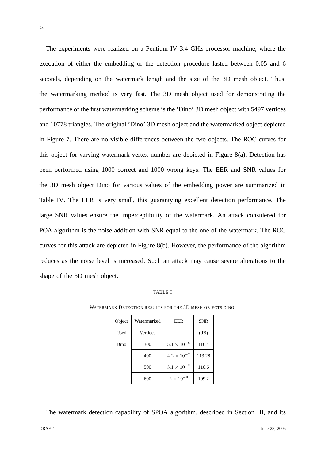The experiments were realized on a Pentium IV 3.4 GHz processor machine, where the execution of either the embedding or the detection procedure lasted between 0.05 and 6 seconds, depending on the watermark length and the size of the 3D mesh object. Thus, the watermarking method is very fast. The 3D mesh object used for demonstrating the performance of the first watermarking scheme is the 'Dino' 3D mesh object with 5497 vertices and 10778 triangles. The original 'Dino' 3D mesh object and the watermarked object depicted in Figure 7. There are no visible differences between the two objects. The ROC curves for this object for varying watermark vertex number are depicted in Figure 8(a). Detection has been performed using 1000 correct and 1000 wrong keys. The EER and SNR values for the 3D mesh object Dino for various values of the embedding power are summarized in Table IV. The EER is very small, this guarantying excellent detection performance. The large SNR values ensure the imperceptibility of the watermark. An attack considered for POA algorithm is the noise addition with SNR equal to the one of the watermark. The ROC curves for this attack are depicted in Figure 8(b). However, the performance of the algorithm reduces as the noise level is increased. Such an attack may cause severe alterations to the shape of the 3D mesh object.

# TABLE I

| Object | Watermarked | <b>EER</b>           | <b>SNR</b> |
|--------|-------------|----------------------|------------|
| Used   | Vertices    |                      | (dB)       |
| Dino   | 300         | $5.1\times10^{-6}$   | 116.4      |
|        | 400         | $4.2\times10^{-7}$   | 113.28     |
|        | 500         | $3.1 \times 10^{-8}$ | 110.6      |
|        | 600         | $2 \times 10^{-9}$   | 109.2      |

WATERMARK DETECTION RESULTS FOR THE 3D MESH OBJECTS DINO.

The watermark detection capability of SPOA algorithm, described in Section III, and its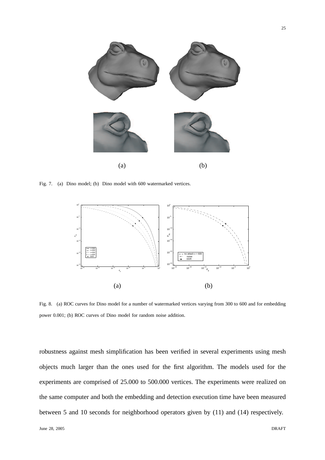

Fig. 7. (a) Dino model; (b) Dino model with 600 watermarked vertices.



Fig. 8. (a) ROC curves for Dino model for a number of watermarked vertices varying from 300 to 600 and for embedding power 0.001; (b) ROC curves of Dino model for random noise addition.

robustness against mesh simplification has been verified in several experiments using mesh objects much larger than the ones used for the first algorithm. The models used for the experiments are comprised of 25.000 to 500.000 vertices. The experiments were realized on the same computer and both the embedding and detection execution time have been measured between 5 and 10 seconds for neighborhood operators given by (11) and (14) respectively.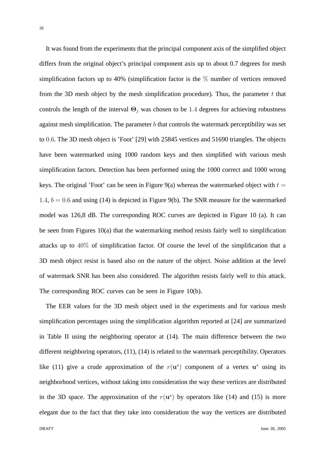It was found from the experiments that the principal component axis of the simplified object differs from the original object's principal component axis up to about 0.7 degrees for mesh simplification factors up to 40% (simplification factor is the  $\%$  number of vertices removed from the 3D mesh object by the mesh simplification procedure). Thus, the parameter  $t$  that controls the length of the interval  $\Theta_i$  was chosen to be 1.4 degrees for achieving robustness against mesh simplification. The parameter  $b$  that controls the watermark perceptibility was set to 0.6. The 3D mesh object is 'Foot' [29] with 25845 vertices and 51690 triangles. The objects have been watermarked using 1000 random keys and then simplified with various mesh simplification factors. Detection has been performed using the 1000 correct and 1000 wrong keys. The original 'Foot' can be seen in Figure 9(a) whereas the watermarked object with  $t =$ 1.4,  $b = 0.6$  and using (14) is depicted in Figure 9(b). The SNR measure for the watermarked model was 126,8 dB. The corresponding ROC curves are depicted in Figure 10 (a). It can be seen from Figures 10(a) that the watermarking method resists fairly well to simplification attacks up to 40% of simplification factor. Of course the level of the simplification that a 3D mesh object resist is based also on the nature of the object. Noise addition at the level of watermark SNR has been also considered. The algorithm resists fairly well to this attack. The corresponding ROC curves can be seen in Figure 10(b).

The EER values for the 3D mesh object used in the experiments and for various mesh simplification percentages using the simplification algorithm reported at [24] are summarized in Table II using the neighboring operator at (14). The main difference between the two different neighboring operators, (11), (14) is related to the watermark perceptibility. Operators like (11) give a crude approximation of the  $r(\mathbf{u}^s)$  component of a vertex  $\mathbf{u}^s$  using its neighborhood vertices, without taking into consideration the way these vertices are distributed in the 3D space. The approximation of the  $r(\mathbf{u}^s)$  by operators like (14) and (15) is more elegant due to the fact that they take into consideration the way the vertices are distributed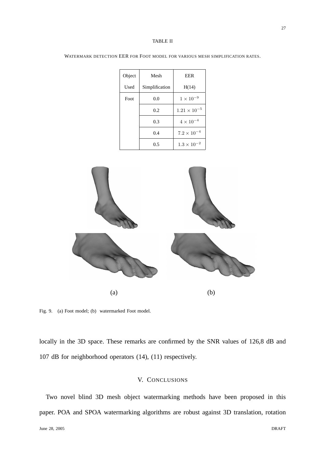#### TABLE II

| Object | Mesh           | EER                   |
|--------|----------------|-----------------------|
| Used   | Simplification | H(14)                 |
| Foot   | 0.0            | $1 \times 10^{-9}$    |
|        | 0.2            | $1.21 \times 10^{-5}$ |
|        | 0.3            | $4 \times 10^{-4}$    |
|        | 0.4            | $7.2 \times 10^{-4}$  |
|        | 0.5            | $1.3 \times 10^{-2}$  |

WATERMARK DETECTION EER FOR FOOT MODEL FOR VARIOUS MESH SIMPLIFICATION RATES.



Fig. 9. (a) Foot model; (b) watermarked Foot model.

locally in the 3D space. These remarks are confirmed by the SNR values of 126,8 dB and 107 dB for neighborhood operators (14), (11) respectively.

# V. CONCLUSIONS

Two novel blind 3D mesh object watermarking methods have been proposed in this paper. POA and SPOA watermarking algorithms are robust against 3D translation, rotation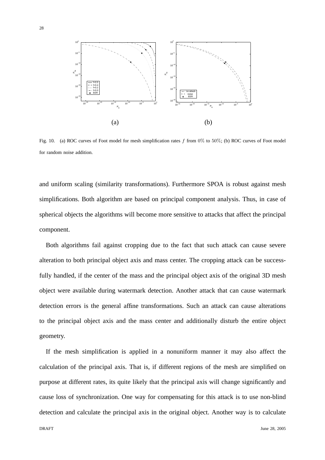

Fig. 10. (a) ROC curves of Foot model for mesh simplification rates f from  $0\%$  to 50%; (b) ROC curves of Foot model for random noise addition.

and uniform scaling (similarity transformations). Furthermore SPOA is robust against mesh simplifications. Both algorithm are based on principal component analysis. Thus, in case of spherical objects the algorithms will become more sensitive to attacks that affect the principal component.

Both algorithms fail against cropping due to the fact that such attack can cause severe alteration to both principal object axis and mass center. The cropping attack can be successfully handled, if the center of the mass and the principal object axis of the original 3D mesh object were available during watermark detection. Another attack that can cause watermark detection errors is the general affine transformations. Such an attack can cause alterations to the principal object axis and the mass center and additionally disturb the entire object geometry.

If the mesh simplification is applied in a nonuniform manner it may also affect the calculation of the principal axis. That is, if different regions of the mesh are simplified on purpose at different rates, its quite likely that the principal axis will change significantly and cause loss of synchronization. One way for compensating for this attack is to use non-blind detection and calculate the principal axis in the original object. Another way is to calculate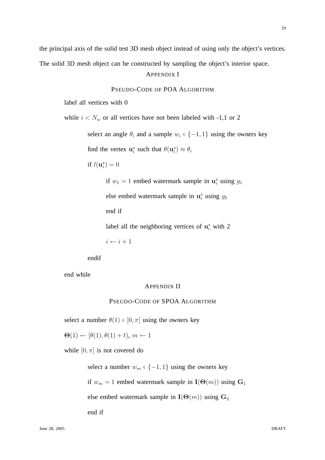29

the principal axis of the solid test 3D mesh object instead of using only the object's vertices.

The solid 3D mesh object can be constructed by sampling the object's interior space.

# APPENDIX I

# PSEUDO-CODE OF POA ALGORITHM

label all vertices with 0

while  $i < N_w$  or all vertices have not been labeled with -1,1 or 2

select an angle  $\theta_i$  and a sample  $w_i \in \{-1, 1\}$  using the owners key

find the vertex  $\mathbf{u}_i^s$  such that  $\theta(\mathbf{u}_i^s) \approx \theta_i$ 

if  $l(\mathbf{u}_i^s)=0$ 

if  $w_1 = 1$  embed watermark sample in  $\mathbf{u}_i^s$  using  $g_1$ else embed watermark sample in  $\mathbf{u}_i^s$  using  $g_2$ end if label all the neighboring vertices of  $\mathbf{u}_i^s$  with 2

 $i \leftarrow i + 1$ 

endif

end while

# APPENDIX II

# PSEUDO-CODE OF SPOA ALGORITHM

select a number  $\theta(1) \in [0, \pi]$  using the owners key

 $\Theta(1) \leftarrow [\theta(1), \theta(1) + t), m \leftarrow 1$ 

while  $[0, \pi]$  is not covered do

select a number  $w_m \in \{-1, 1\}$  using the owners key

if  $w_m = 1$  embed watermark sample in  $I(\Theta(m))$  using  $G_1$ 

else embed watermark sample in  $I(\Theta(m))$  using  $G_2$ 

end if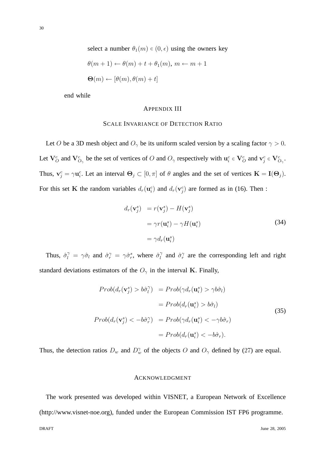select a number  $\theta_1(m) \in (0, \epsilon)$  using the owners key

$$
\theta(m+1) \leftarrow \theta(m) + t + \theta_1(m), \, m \leftarrow m+1
$$
  

$$
\Theta(m) \leftarrow [\theta(m), \theta(m) + t]
$$

end while

# APPENDIX III

# SCALE INVARIANCE OF DETECTION RATIO

Let O be a 3D mesh object and  $O_{\gamma}$  be its uniform scaled version by a scaling factor  $\gamma > 0$ . Let  $V^c_O$  and  $V^c_{O_\gamma}$  be the set of vertices of O and  $O_\gamma$  respectively with  $u^c_i \in V^c_O$  and  $v^c_j \in V^c_{O_\gamma}$ . Thus,  $\mathbf{v}_j^c = \gamma \mathbf{u}_i^c$ . Let an interval  $\mathbf{\Theta}_j \subset [0, \pi]$  of  $\theta$  angles and the set of vertices  $\mathbf{K} = \mathbf{I}(\mathbf{\Theta}_j)$ . For this set K the random variables  $d_r(\mathbf{u}_i^c)$  and  $d_r(\mathbf{v}_j^c)$  are formed as in (16). Then :

$$
d_r(\mathbf{v}_j^s) = r(\mathbf{v}_j^s) - H(\mathbf{v}_j^s)
$$
  
=  $\gamma r(\mathbf{u}_i^s) - \gamma H(\mathbf{u}_i^s)$   
=  $\gamma d_r(\mathbf{u}_i^s)$  (34)

Thus,  $\hat{\sigma}_l^{\gamma} = \gamma \hat{\sigma}_l$  and  $\hat{\sigma}_r^{\gamma} = \gamma \hat{\sigma}_r^s$ , where  $\hat{\sigma}_l^{\gamma}$  $\hat{a}^{\gamma}$  and  $\hat{\sigma}^{\gamma}$  are the corresponding left and right standard deviations estimators of the  $O_\gamma$  in the interval K. Finally,

$$
Prob(d_r(\mathbf{v}_j^s) > b\hat{\sigma}_l^{\gamma}) = Prob(\gamma d_r(\mathbf{u}_i^s) > \gamma b\hat{\sigma}_l)
$$
  

$$
= Prob(d_r(\mathbf{u}_i^s) > b\hat{\sigma}_l)
$$
  

$$
Prob(d_r(\mathbf{v}_j^s) < -b\hat{\sigma}_r^{\gamma}) = Prob(\gamma d_r(\mathbf{u}_i^s) < -\gamma b\hat{\sigma}_r)
$$
  

$$
= Prob(d_r(\mathbf{u}_i^s) < -b\hat{\sigma}_r).
$$
 (35)

Thus, the detection ratios  $D_w$  and  $D_w^{\gamma}$  of the objects O and  $O_{\gamma}$  defined by (27) are equal.

# ACKNOWLEDGMENT

The work presented was developed within VISNET, a European Network of Excellence (http://www.visnet-noe.org), funded under the European Commission IST FP6 programme.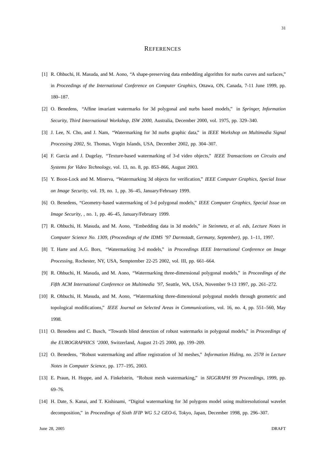#### **REFERENCES**

- [1] R. Ohbuchi, H. Masuda, and M. Aono, "A shape-preserving data embedding algorithm for nurbs curves and surfaces," in *Proceedings of the International Conference on Computer Graphics*, Ottawa, ON, Canada, 7-11 June 1999, pp. 180–187.
- [2] O. Benedens, "Affine invariant watermarks for 3d polygonal and nurbs based models," in *Springer, Information Security, Third International Workshop, ISW 2000*, Australia, December 2000, vol. 1975, pp. 329–340.
- [3] J. Lee, N. Cho, and J. Nam, "Watermarking for 3d nurbs graphic data," in *IEEE Workshop on Multimedia Signal Processing 2002*, St. Thomas, Virgin Islands, USA, December 2002, pp. 304–307.
- [4] F. Garcia and J. Dugelay, "Texture-based watermarking of 3-d video objects," *IEEE Transactions on Circuits and Systems for Video Technology*, vol. 13, no. 8, pp. 853–866, August 2003.
- [5] Y. Boon-Lock and M. Minerva, "Watermarking 3d objects for verification," *IEEE Computer Graphics, Special Issue on Image Security*, vol. 19, no. 1, pp. 36–45, January/February 1999.
- [6] O. Benedens, "Geometry-based watermarking of 3-d polygonal models," *IEEE Computer Graphics, Special Issue on Image Security*, , no. 1, pp. 46–45, January/February 1999.
- [7] R. Ohbuchi, H. Masuda, and M. Aono, "Embedding data in 3d models," *in Steinmetz, et al. eds, Lecture Notes in Computer Science No. 1309, (Proceedings of the IDMS '97 Darmstadt, Germany, September)*, pp. 1–11, 1997.
- [8] T. Harte and A.G. Bors, "Watermarking 3-d models," in *Proceedings IEEE International Conference on Image Processing*, Rochester, NY, USA, Semptember 22-25 2002, vol. III, pp. 661–664.
- [9] R. Ohbuchi, H. Masuda, and M. Aono, "Watermarking three-dimensional polygonal models," in *Proceedings of the Fifth ACM International Conference on Multimedia '97*, Seattle, WA, USA, November 9-13 1997, pp. 261–272.
- [10] R. Ohbuchi, H. Masuda, and M. Aono, "Watermarking three-dimensional polygonal models through geometric and topological modifications," *IEEE Journal on Selected Areas in Communications*, vol. 16, no. 4, pp. 551–560, May 1998.
- [11] O. Benedens and C. Busch, "Towards blind detection of robust watermarks in polygonal models," in *Proceedings of the EUROGRAPHICS '2000*, Switzerland, August 21-25 2000, pp. 199–209.
- [12] O. Benedens, "Robust watermarking and affine registration of 3d meshes," *Information Hiding, no. 2578 in Lecture Notes in Computer Science*, pp. 177–195, 2003.
- [13] E. Praun, H. Hoppe, and A. Finkelstein, "Robust mesh watermarking," in *SIGGRAPH 99 Proceedings*, 1999, pp. 69–76.
- [14] H. Date, S. Kanai, and T. Kishinami, "Digital watermarking for 3d polygons model using multiresolutional wavelet decomposition," in *Proceedings of Sixth IFIP WG 5.2 GEO-6*, Tokyo, Japan, December 1998, pp. 296–307.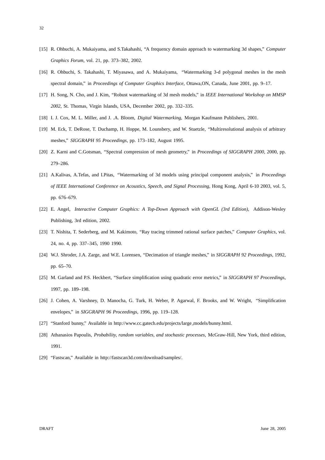- [15] R. Ohbuchi, A. Mukaiyama, and S.Takahashi, "A frequency domain approach to watermarking 3d shapes," *Computer Graphics Forum*, vol. 21, pp. 373–382, 2002.
- [16] R. Ohbuchi, S. Takahashi, T. Miyasawa, and A. Mukaiyama, "Watermarking 3-d polygonal meshes in the mesh spectral domain," in *Proceedings of Computer Graphics Interface*, Ottawa,ON, Canada, June 2001, pp. 9–17.
- [17] H. Song, N. Cho, and J. Kim, "Robust watermarking of 3d mesh models," in *IEEE International Workshop on MMSP 2002*, St. Thomas, Virgin Islands, USA, December 2002, pp. 332–335.
- [18] I. J. Cox, M. L. Miller, and J. .A. Bloom, *Digital Watermarking*, Morgan Kaufmann Publishers, 2001.
- [19] M. Eck, T. DeRose, T. Duchamp, H. Hoppe, M. Lounsbery, and W. Stuetzle, "Multiresolutional analysis of arbitrary meshes," *SIGGRAPH 95 Proceedings*, pp. 173–182, August 1995.
- [20] Z. Karni and C.Gotsman, "Spectral compression of mesh geometry," in *Proceedings of SIGGRAPH 2000*, 2000, pp. 279–286.
- [21] A.Kalivas, A.Tefas, and I.Pitas, "Watermarking of 3d models using principal component analysis," in *Proceedings of IEEE International Conference on Acoustics, Speech, and Signal Processing*, Hong Kong, April 6-10 2003, vol. 5, pp. 676–679.
- [22] E. Angel, *Interactive Computer Graphics: A Top-Down Approach with OpenGL (3rd Edition)*, Addison-Wesley Publishing, 3rd edition, 2002.
- [23] T. Nishita, T. Sederberg, and M. Kakimoto, "Ray tracing trimmed rational surface patches," *Computer Graphics*, vol. 24, no. 4, pp. 337–345, 1990 1990.
- [24] W.J. Shroder, J.A. Zarge, and W.E. Lorensen, "Decimation of triangle meshes," in *SIGGRAPH 92 Proceedings*, 1992, pp. 65–70.
- [25] M. Garland and P.S. Heckbert, "Surface simplification using quadratic error metrics," in *SIGGRAPH 97 Proceedings*, 1997, pp. 189–198.
- [26] J. Cohen, A. Varshney, D. Manocha, G. Turk, H. Weber, P. Agarwal, F. Brooks, and W. Wright, "Simplification envelopes," in *SIGGRAPH 96 Proceedings*, 1996, pp. 119–128.
- [27] "Stanford bunny," Available in http://www.cc.gatech.edu/projects/large models/bunny.html.
- [28] Athanasios Papoulis, *Probability, random variables, and stochastic processes*, McGraw-Hill, New York, third edition, 1991.
- [29] "Fastscan," Available in http://fastscan3d.com/download/samples/.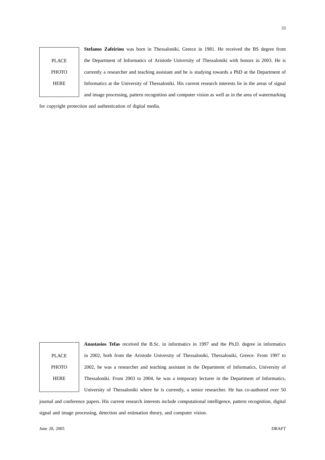PLACE **PHOTO** HERE **Stefanos Zafeiriou** was born in Thessaloniki, Greece in 1981. He received the BS degree from the Department of Informatics of Aristotle University of Thessaloniki with honors in 2003. He is currently a researcher and teaching assistant and he is studying towards a PhD at the Department of Informatics at the University of Thessaloniki. His current research interests lie in the areas of signal and image processing, pattern recognition and computer vision as well as in the area of watermarking

for copyright protection and authentication of digital media.

| <b>PLACE</b> |  |
|--------------|--|
| <b>PHOTO</b> |  |
| <b>HERE</b>  |  |
|              |  |

**Anastasios Tefas** received the B.Sc. in informatics in 1997 and the Ph.D. degree in informatics in 2002, both from the Aristotle University of Thessaloniki, Thessaloniki, Greece. From 1997 to 2002, he was a researcher and teaching assistant in the Department of Informatics, University of Thessaloniki. From 2003 to 2004, he was a temporary lecturer in the Department of Informatics, University of Thessaloniki where he is currently, a senior researcher. He has co-authored over 50

journal and conference papers. His current research interests include computational intelligence, pattern recognition, digital signal and image processing, detection and estimation theory, and computer vision.